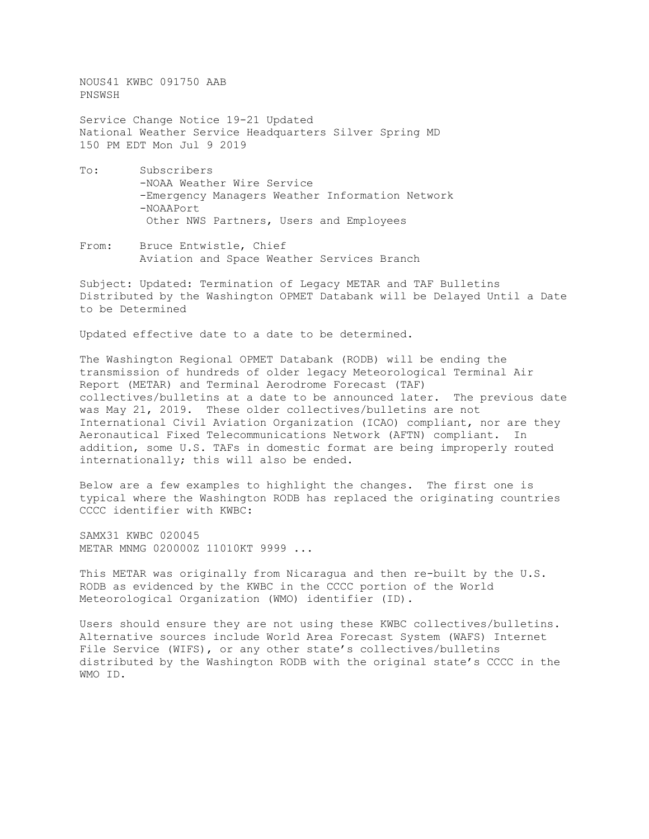NOUS41 KWBC 091750 AAB PNSWSH

Service Change Notice 19-21 Updated National Weather Service Headquarters Silver Spring MD 150 PM EDT Mon Jul 9 2019

- To: Subscribers -NOAA Weather Wire Service -Emergency Managers Weather Information Network -NOAAPort Other NWS Partners, Users and Employees
- From: Bruce Entwistle, Chief Aviation and Space Weather Services Branch

Subject: Updated: Termination of Legacy METAR and TAF Bulletins Distributed by the Washington OPMET Databank will be Delayed Until a Date to be Determined

Updated effective date to a date to be determined.

The Washington Regional OPMET Databank (RODB) will be ending the transmission of hundreds of older legacy Meteorological Terminal Air Report (METAR) and Terminal Aerodrome Forecast (TAF) collectives/bulletins at a date to be announced later. The previous date was May 21, 2019. These older collectives/bulletins are not International Civil Aviation Organization (ICAO) compliant, nor are they Aeronautical Fixed Telecommunications Network (AFTN) compliant. In addition, some U.S. TAFs in domestic format are being improperly routed internationally; this will also be ended.

Below are a few examples to highlight the changes. The first one is typical where the Washington RODB has replaced the originating countries CCCC identifier with KWBC:

SAMX31 KWBC 020045 METAR MNMG 020000Z 11010KT 9999 ...

This METAR was originally from Nicaragua and then re-built by the U.S. RODB as evidenced by the KWBC in the CCCC portion of the World Meteorological Organization (WMO) identifier (ID).

Users should ensure they are not using these KWBC collectives/bulletins. Alternative sources include World Area Forecast System (WAFS) Internet File Service (WIFS), or any other state's collectives/bulletins distributed by the Washington RODB with the original state's CCCC in the WMO ID.